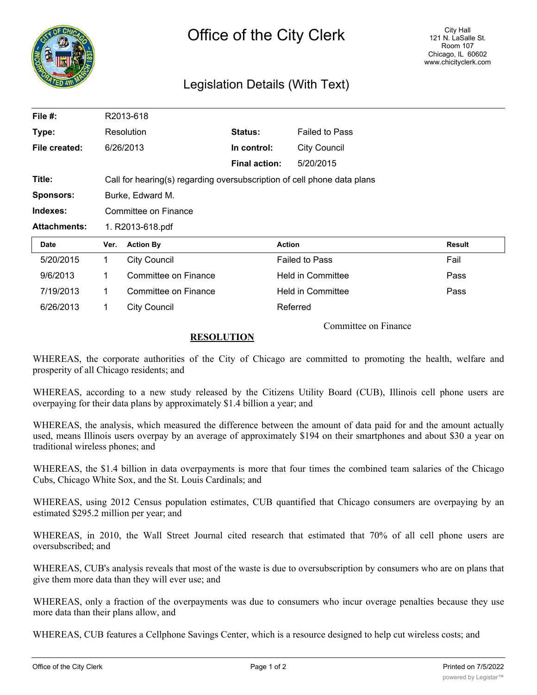

## Legislation Details (With Text)

| File $#$ :          |                                                                         | R2013-618            |                      |                          |        |
|---------------------|-------------------------------------------------------------------------|----------------------|----------------------|--------------------------|--------|
| Type:               |                                                                         | Resolution           | Status:              | <b>Failed to Pass</b>    |        |
| File created:       |                                                                         | 6/26/2013            | In control:          | <b>City Council</b>      |        |
|                     |                                                                         |                      | <b>Final action:</b> | 5/20/2015                |        |
| Title:              | Call for hearing(s) regarding oversubscription of cell phone data plans |                      |                      |                          |        |
| <b>Sponsors:</b>    |                                                                         | Burke, Edward M.     |                      |                          |        |
|                     | Committee on Finance                                                    |                      |                      |                          |        |
| Indexes:            |                                                                         |                      |                      |                          |        |
| <b>Attachments:</b> |                                                                         | 1. R2013-618.pdf     |                      |                          |        |
| Date                | Ver.                                                                    | <b>Action By</b>     |                      | <b>Action</b>            | Result |
| 5/20/2015           | $\mathbf 1$                                                             | <b>City Council</b>  |                      | <b>Failed to Pass</b>    | Fail   |
| 9/6/2013            | 1                                                                       | Committee on Finance |                      | <b>Held in Committee</b> | Pass   |
| 7/19/2013           | 1                                                                       | Committee on Finance |                      | <b>Held in Committee</b> | Pass   |

Committee on Finance

## **RESOLUTION**

WHEREAS, the corporate authorities of the City of Chicago are committed to promoting the health, welfare and prosperity of all Chicago residents; and

WHEREAS, according to a new study released by the Citizens Utility Board (CUB), Illinois cell phone users are overpaying for their data plans by approximately \$1.4 billion a year; and

WHEREAS, the analysis, which measured the difference between the amount of data paid for and the amount actually used, means Illinois users overpay by an average of approximately \$194 on their smartphones and about \$30 a year on traditional wireless phones; and

WHEREAS, the \$1.4 billion in data overpayments is more that four times the combined team salaries of the Chicago Cubs, Chicago White Sox, and the St. Louis Cardinals; and

WHEREAS, using 2012 Census population estimates, CUB quantified that Chicago consumers are overpaying by an estimated \$295.2 million per year; and

WHEREAS, in 2010, the Wall Street Journal cited research that estimated that 70% of all cell phone users are oversubscribed; and

WHEREAS, CUB's analysis reveals that most of the waste is due to oversubscription by consumers who are on plans that give them more data than they will ever use; and

WHEREAS, only a fraction of the overpayments was due to consumers who incur overage penalties because they use more data than their plans allow, and

WHEREAS, CUB features a Cellphone Savings Center, which is a resource designed to help cut wireless costs; and